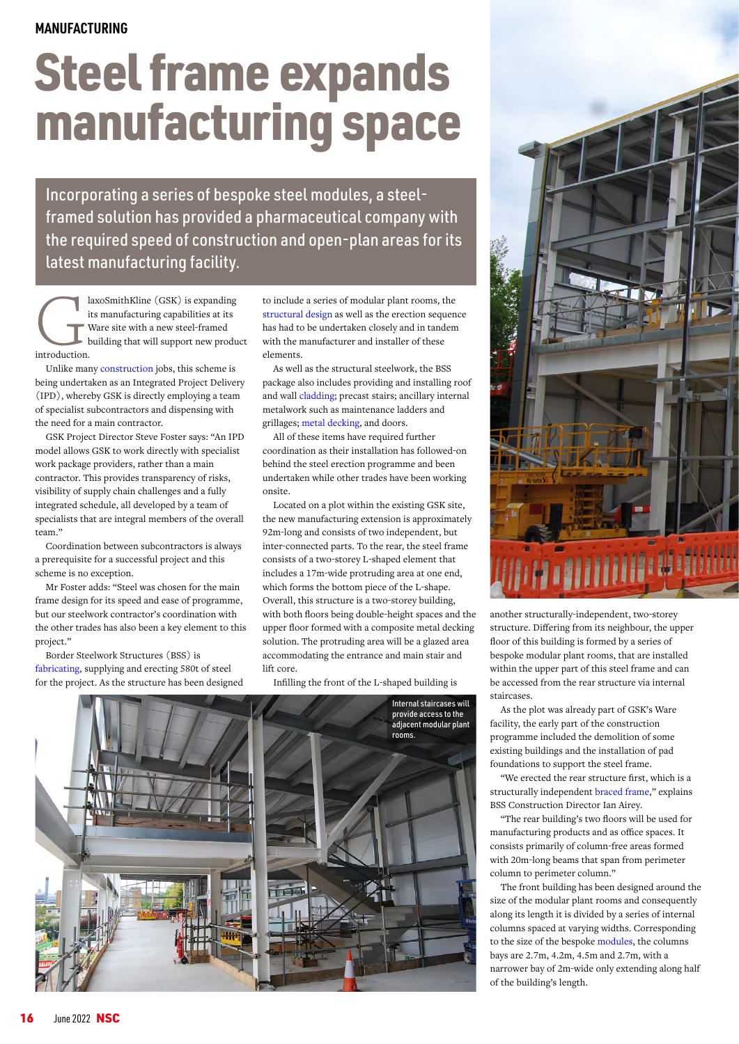## Steel frame expands manufacturing space

Incorporating a series of bespoke steel modules, a steelframed solution has provided a pharmaceutical company with the required speed of construction and open-plan areas for its latest manufacturing facility.

laxoSmithKline (GSK) is expanding<br>its manufacturing capabilities at its<br>Ware site with a new steel-framed<br>building that will support new produ<br>introduction. its manufacturing capabilities at its Ware site with a new steel-framed building that will support new product introduction.

Unlike many [construction](https://www.steelconstruction.info/Construction) jobs, this scheme is being undertaken as an Integrated Project Delivery (IPD), whereby GSK is directly employing a team of specialist subcontractors and dispensing with the need for a main contractor.

GSK Project Director Steve Foster says: "An IPD model allows GSK to work directly with specialist work package providers, rather than a main contractor. This provides transparency of risks, visibility of supply chain challenges and a fully integrated schedule, all developed by a team of specialists that are integral members of the overall team."

Coordination between subcontractors is always a prerequisite for a successful project and this scheme is no exception.

Mr Foster adds: "Steel was chosen for the main frame design for its speed and ease of programme, but our steelwork contractor's coordination with the other trades has also been a key element to this project."

Border Steelwork Structures (BSS) is [fabricating](https://www.steelconstruction.info/Fabrication), supplying and erecting 580t of steel for the project. As the structure has been designed to include a series of modular plant rooms, the [structural design](https://www.steelconstruction.info/Design) as well as the erection sequence has had to be undertaken closely and in tandem with the manufacturer and installer of these elements.

As well as the structural steelwork, the BSS package also includes providing and installing roof and wall [cladding;](https://www.steelconstruction.info/Building_envelopes) precast stairs; ancillary internal metalwork such as maintenance ladders and grillages; [metal decking,](https://www.steelconstruction.info/Steel_construction_products#Decking_for_floors) and doors.

All of these items have required further coordination as their installation has followed-on behind the steel erection programme and been undertaken while other trades have been working onsite.

Located on a plot within the existing GSK site, the new manufacturing extension is approximately 92m-long and consists of two independent, but inter-connected parts. To the rear, the steel frame consists of a two-storey L-shaped element that includes a 17m-wide protruding area at one end, which forms the bottom piece of the L-shape. Overall, this structure is a two-storey building, with both floors being double-height spaces and the upper floor formed with a composite metal decking solution. The protruding area will be a glazed area accommodating the entrance and main stair and lift core.

Infilling the front of the L-shaped building is





another structurally-independent, two-storey structure. Differing from its neighbour, the upper floor of this building is formed by a series of bespoke modular plant rooms, that are installed within the upper part of this steel frame and can be accessed from the rear structure via internal staircases.

As the plot was already part of GSK's Ware facility, the early part of the construction programme included the demolition of some existing buildings and the installation of pad foundations to support the steel frame.

"We erected the rear structure first, which is a structurally independent [braced frame](https://www.steelconstruction.info/Braced_frames)," explains BSS Construction Director Ian Airey.

"The rear building's two floors will be used for manufacturing products and as office spaces. It consists primarily of column-free areas formed with 20m-long beams that span from perimeter column to perimeter column."

The front building has been designed around the size of the modular plant rooms and consequently along its length it is divided by a series of internal columns spaced at varying widths. Corresponding to the size of the bespoke [modules,](https://www.steelconstruction.info/Modular_construction) the columns bays are 2.7m, 4.2m, 4.5m and 2.7m, with a narrower bay of 2m-wide only extending along half of the building's length.